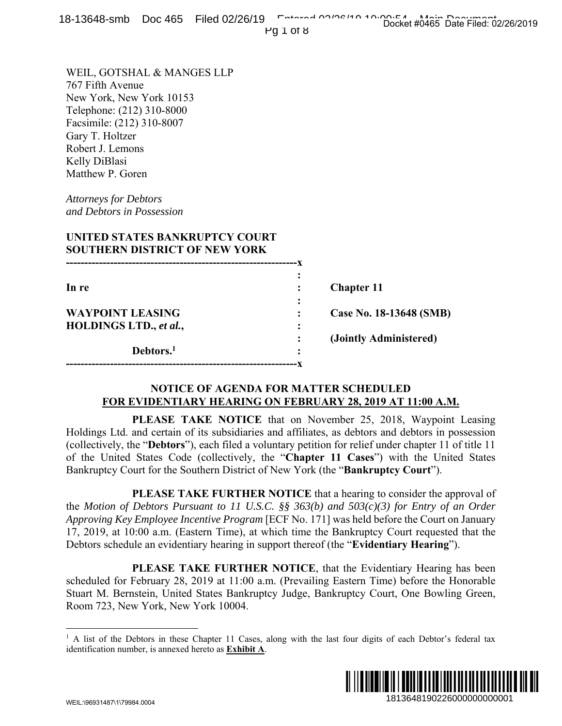|  | 18-13648-smb Doc 465 Filed 02/26/19 February 20106/10 10:00:04 that Data Filed: 02 |  |                                     |  |
|--|------------------------------------------------------------------------------------|--|-------------------------------------|--|
|  |                                                                                    |  | Docket #0465 Date Filed: 02/26/2019 |  |
|  | <b>PAINTR</b>                                                                      |  |                                     |  |

|                                                                                                                                                                                                                                                                               |                       | 0-19040-31110 DOC 409 THEO 02/20/19                    | Pg 1 of 8 | Docket #0465 Date Filed: 02/26/2019                                                                                                                                                                                                                                                                                                                                                                                                                             |             |
|-------------------------------------------------------------------------------------------------------------------------------------------------------------------------------------------------------------------------------------------------------------------------------|-----------------------|--------------------------------------------------------|-----------|-----------------------------------------------------------------------------------------------------------------------------------------------------------------------------------------------------------------------------------------------------------------------------------------------------------------------------------------------------------------------------------------------------------------------------------------------------------------|-------------|
| WEIL, GOTSHAL & MANGES LLP<br>767 Fifth Avenue<br>New York, New York 10153<br>Telephone: (212) 310-8000<br>Facsimile: (212) 310-8007<br>Gary T. Holtzer<br>Robert J. Lemons<br>Kelly DiBlasi<br>Matthew P. Goren<br><b>Attorneys for Debtors</b><br>and Debtors in Possession |                       | UNITED STATES BANKRUPTCY COURT                         |           |                                                                                                                                                                                                                                                                                                                                                                                                                                                                 |             |
|                                                                                                                                                                                                                                                                               |                       | <b>SOUTHERN DISTRICT OF NEW YORK</b>                   |           |                                                                                                                                                                                                                                                                                                                                                                                                                                                                 |             |
| In re                                                                                                                                                                                                                                                                         |                       |                                                        |           | <b>Chapter 11</b>                                                                                                                                                                                                                                                                                                                                                                                                                                               |             |
| <b>WAYPOINT LEASING</b>                                                                                                                                                                                                                                                       |                       |                                                        |           | Case No. 18-13648 (SMB)                                                                                                                                                                                                                                                                                                                                                                                                                                         |             |
| HOLDINGS LTD., et al.,                                                                                                                                                                                                                                                        | Debtors. <sup>1</sup> |                                                        |           | (Jointly Administered)                                                                                                                                                                                                                                                                                                                                                                                                                                          |             |
|                                                                                                                                                                                                                                                                               |                       |                                                        |           | <b>NOTICE OF AGENDA FOR MATTER SCHEDULED</b><br>FOR EVIDENTIARY HEARING ON FEBRUARY 28, 2019 AT 11:00 A.M.                                                                                                                                                                                                                                                                                                                                                      |             |
|                                                                                                                                                                                                                                                                               |                       |                                                        |           | PLEASE TAKE NOTICE that on November 25, 2018, Waypoint Leasing<br>Holdings Ltd. and certain of its subsidiaries and affiliates, as debtors and debtors in possession<br>(collectively, the "Debtors"), each filed a voluntary petition for relief under chapter 11 of title 11<br>of the United States Code (collectively, the "Chapter 11 Cases") with the United States<br>Bankruptcy Court for the Southern District of New York (the "Bankruptcy Court").   |             |
|                                                                                                                                                                                                                                                                               |                       |                                                        |           | PLEASE TAKE FURTHER NOTICE that a hearing to consider the approval of<br>the Motion of Debtors Pursuant to 11 U.S.C. §§ 363(b) and $503(c)(3)$ for Entry of an Order<br>Approving Key Employee Incentive Program [ECF No. 171] was held before the Court on January<br>17, 2019, at 10:00 a.m. (Eastern Time), at which time the Bankruptcy Court requested that the<br>Debtors schedule an evidentiary hearing in support thereof (the "Evidentiary Hearing"). |             |
| Room 723, New York, New York 10004.                                                                                                                                                                                                                                           |                       |                                                        |           | PLEASE TAKE FURTHER NOTICE, that the Evidentiary Hearing has been<br>scheduled for February 28, 2019 at 11:00 a.m. (Prevailing Eastern Time) before the Honorable<br>Stuart M. Bernstein, United States Bankruptcy Judge, Bankruptcy Court, One Bowling Green,                                                                                                                                                                                                  |             |
|                                                                                                                                                                                                                                                                               |                       | identification number, is annexed hereto as Exhibit A. |           | <sup>1</sup> A list of the Debtors in these Chapter 11 Cases, along with the last four digits of each Debtor's federal tax                                                                                                                                                                                                                                                                                                                                      |             |
| WEIL:\Q6Q31487\1\7QQ84.0004                                                                                                                                                                                                                                                   |                       |                                                        |           | 1813648190226000000000001                                                                                                                                                                                                                                                                                                                                                                                                                                       | III III III |

## **NOTICE OF AGENDA FOR MATTER SCHEDULED FOR EVIDENTIARY HEARING ON FEBRUARY 28, 2019 AT 11:00 A.M.**

<sup>&</sup>lt;sup>1</sup> A list of the Debtors in these Chapter 11 Cases, along with the last four digits of each Debtor's federal tax identification number, is annexed hereto as **Exhibit A**.

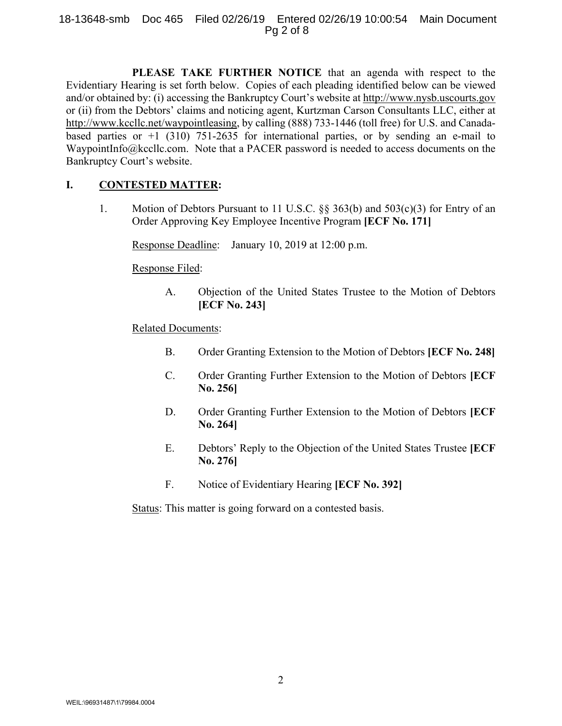### 18-13648-smb Doc 465 Filed 02/26/19 Entered 02/26/19 10:00:54 Main Document Pg 2 of 8

 **PLEASE TAKE FURTHER NOTICE** that an agenda with respect to the Evidentiary Hearing is set forth below. Copies of each pleading identified below can be viewed and/or obtained by: (i) accessing the Bankruptcy Court's website at http://www.nysb.uscourts.gov or (ii) from the Debtors' claims and noticing agent, Kurtzman Carson Consultants LLC, either at http://www.kccllc.net/waypointleasing, by calling (888) 733-1446 (toll free) for U.S. and Canadabased parties or  $+1$  (310) 751-2635 for international parties, or by sending an e-mail to WaypointInfo@kccllc.com. Note that a PACER password is needed to access documents on the Bankruptcy Court's website.

## **I. CONTESTED MATTER:**

1. Motion of Debtors Pursuant to 11 U.S.C. §§ 363(b) and 503(c)(3) for Entry of an Order Approving Key Employee Incentive Program **[ECF No. 171]**

Response Deadline: January 10, 2019 at 12:00 p.m.

Response Filed:

A. Objection of the United States Trustee to the Motion of Debtors **[ECF No. 243]** 

### Related Documents:

- B. Order Granting Extension to the Motion of Debtors **[ECF No. 248]**
- C. Order Granting Further Extension to the Motion of Debtors **[ECF No. 256]**
- D. Order Granting Further Extension to the Motion of Debtors **[ECF No. 264]**
- E. Debtors' Reply to the Objection of the United States Trustee **[ECF No. 276]**
- F. Notice of Evidentiary Hearing **[ECF No. 392]**

Status: This matter is going forward on a contested basis.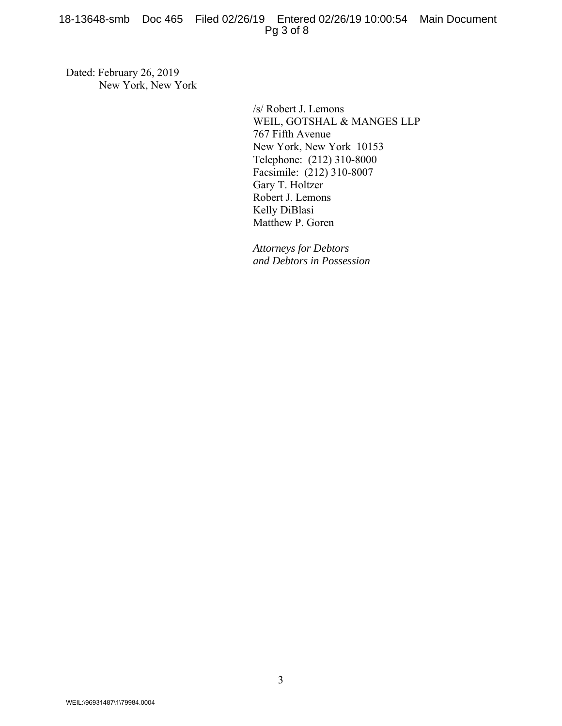### 18-13648-smb Doc 465 Filed 02/26/19 Entered 02/26/19 10:00:54 Main Document Pg 3 of 8

Dated: February 26, 2019 New York, New York

> /s/ Robert J. Lemons WEIL, GOTSHAL & MANGES LLP 767 Fifth Avenue New York, New York 10153 Telephone: (212) 310-8000 Facsimile: (212) 310-8007 Gary T. Holtzer Robert J. Lemons Kelly DiBlasi Matthew P. Goren

*Attorneys for Debtors and Debtors in Possession*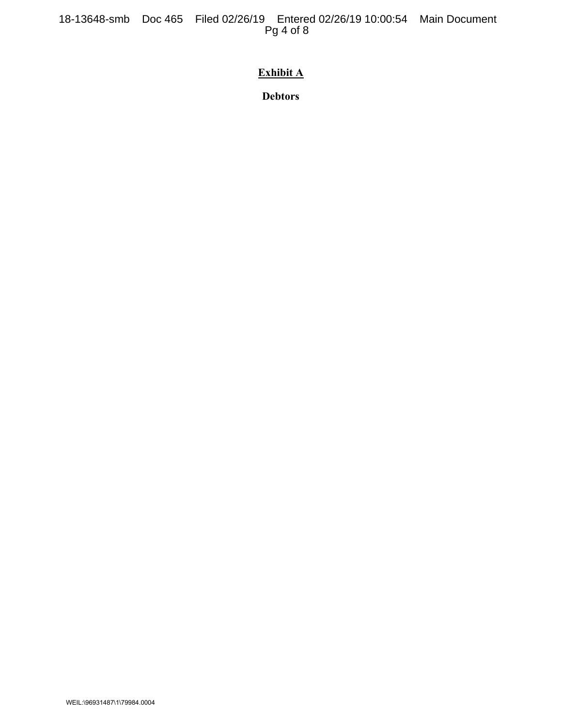18-13648-smb Doc 465 Filed 02/26/19 Entered 02/26/19 10:00:54 Main Document Pg 4 of 8

# **Exhibit A**

**Debtors**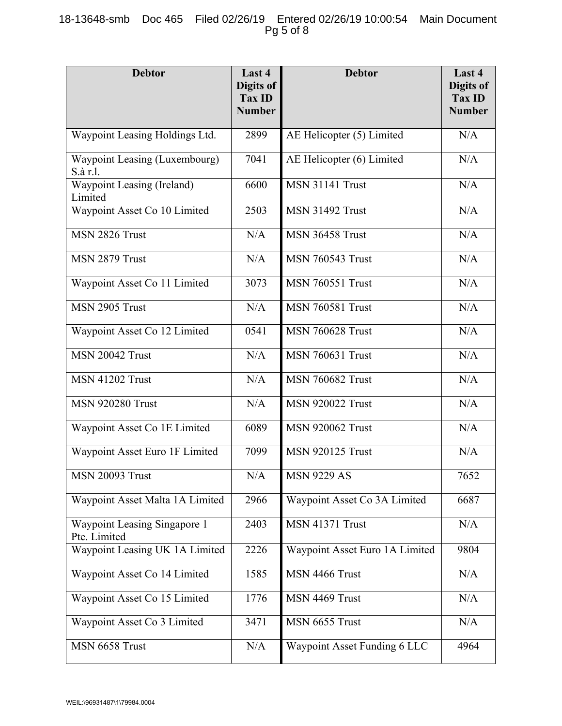## 18-13648-smb Doc 465 Filed 02/26/19 Entered 02/26/19 10:00:54 Main Document Pg 5 of 8

| <b>Debtor</b>                                | Last 4<br>Digits of<br>Tax ID<br><b>Number</b> | <b>Debtor</b>                       | Last 4<br>Digits of<br><b>Tax ID</b><br><b>Number</b> |
|----------------------------------------------|------------------------------------------------|-------------------------------------|-------------------------------------------------------|
| Waypoint Leasing Holdings Ltd.               | 2899                                           | AE Helicopter (5) Limited           | N/A                                                   |
| Waypoint Leasing (Luxembourg)<br>S.à r.l.    | 7041                                           | AE Helicopter (6) Limited           | N/A                                                   |
| Waypoint Leasing (Ireland)<br>Limited        | 6600                                           | $\overline{\text{MSN}}$ 31141 Trust | N/A                                                   |
| Waypoint Asset Co 10 Limited                 | 2503                                           | <b>MSN 31492 Trust</b>              | N/A                                                   |
| MSN 2826 Trust                               | N/A                                            | <b>MSN 36458 Trust</b>              | N/A                                                   |
| MSN 2879 Trust                               | N/A                                            | <b>MSN 760543 Trust</b>             | N/A                                                   |
| Waypoint Asset Co 11 Limited                 | 3073                                           | <b>MSN 760551 Trust</b>             | N/A                                                   |
| MSN 2905 Trust                               | N/A                                            | <b>MSN 760581 Trust</b>             | N/A                                                   |
| Waypoint Asset Co 12 Limited                 | 0541                                           | <b>MSN 760628 Trust</b>             | N/A                                                   |
| <b>MSN 20042 Trust</b>                       | N/A                                            | <b>MSN 760631 Trust</b>             | N/A                                                   |
| <b>MSN 41202 Trust</b>                       | N/A                                            | <b>MSN 760682 Trust</b>             | N/A                                                   |
| <b>MSN 920280 Trust</b>                      | N/A                                            | <b>MSN 920022 Trust</b>             | N/A                                                   |
| Waypoint Asset Co 1E Limited                 | 6089                                           | <b>MSN 920062 Trust</b>             | N/A                                                   |
| Waypoint Asset Euro 1F Limited               | 7099                                           | <b>MSN 920125 Trust</b>             | N/A                                                   |
| <b>MSN 20093 Trust</b>                       | $\rm N/A$                                      | <b>MSN 9229 AS</b>                  | 7652                                                  |
| Waypoint Asset Malta 1A Limited              | 2966                                           | Waypoint Asset Co 3A Limited        | 6687                                                  |
| Waypoint Leasing Singapore 1<br>Pte. Limited | 2403                                           | <b>MSN 41371 Trust</b>              | N/A                                                   |
| Waypoint Leasing UK 1A Limited               | 2226                                           | Waypoint Asset Euro 1A Limited      | 9804                                                  |
| Waypoint Asset Co 14 Limited                 | 1585                                           | MSN 4466 Trust                      | N/A                                                   |
| Waypoint Asset Co 15 Limited                 | 1776                                           | MSN 4469 Trust                      | N/A                                                   |
| Waypoint Asset Co 3 Limited                  | 3471                                           | MSN 6655 Trust                      | N/A                                                   |
| MSN 6658 Trust                               | N/A                                            | Waypoint Asset Funding 6 LLC        | 4964                                                  |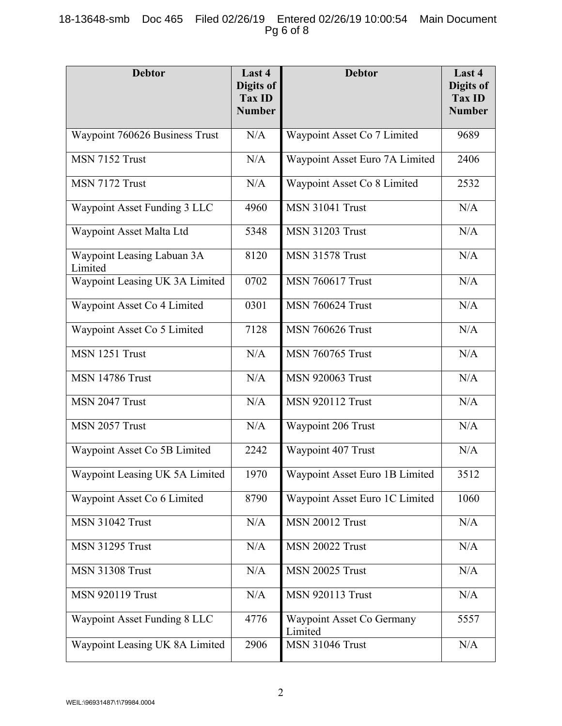## 18-13648-smb Doc 465 Filed 02/26/19 Entered 02/26/19 10:00:54 Main Document Pg 6 of 8

| <b>Debtor</b>                         | Last 4<br><b>Digits of</b> | <b>Debtor</b><br>Tax ID              |                         |
|---------------------------------------|----------------------------|--------------------------------------|-------------------------|
|                                       | <b>Number</b>              |                                      | Tax ID<br><b>Number</b> |
| Waypoint 760626 Business Trust        | N/A                        | Waypoint Asset Co 7 Limited          | 9689                    |
| MSN 7152 Trust                        | N/A                        | Waypoint Asset Euro 7A Limited       | 2406                    |
| MSN 7172 Trust                        | N/A                        | Waypoint Asset Co 8 Limited          | 2532                    |
| Waypoint Asset Funding 3 LLC          | 4960                       | <b>MSN 31041 Trust</b>               | N/A                     |
| Waypoint Asset Malta Ltd              | 5348                       | <b>MSN 31203 Trust</b>               | N/A                     |
| Waypoint Leasing Labuan 3A<br>Limited | 8120                       | <b>MSN 31578 Trust</b>               | N/A                     |
| Waypoint Leasing UK 3A Limited        | 0702                       | <b>MSN 760617 Trust</b>              | N/A                     |
| Waypoint Asset Co 4 Limited           | 0301                       | <b>MSN 760624 Trust</b>              | N/A                     |
| Waypoint Asset Co 5 Limited           | 7128                       | <b>MSN 760626 Trust</b>              | N/A                     |
| MSN 1251 Trust                        | N/A                        | <b>MSN 760765 Trust</b>              | N/A                     |
| <b>MSN 14786 Trust</b>                | N/A                        | <b>MSN 920063 Trust</b>              | N/A                     |
| MSN 2047 Trust                        | N/A                        | <b>MSN 920112 Trust</b>              | N/A                     |
| MSN 2057 Trust                        | N/A                        | Waypoint 206 Trust                   | N/A                     |
| Waypoint Asset Co 5B Limited          | 2242                       | Waypoint 407 Trust                   | N/A                     |
| Waypoint Leasing UK 5A Limited        | 1970                       | Waypoint Asset Euro 1B Limited       | 3512                    |
| Waypoint Asset Co 6 Limited           | 8790                       | Waypoint Asset Euro 1C Limited       | 1060                    |
| <b>MSN 31042 Trust</b>                | N/A                        | <b>MSN 20012 Trust</b>               | N/A                     |
| <b>MSN 31295 Trust</b>                | N/A                        | <b>MSN 20022 Trust</b>               | N/A                     |
| <b>MSN 31308 Trust</b>                | N/A                        | <b>MSN 20025 Trust</b>               | N/A                     |
| <b>MSN 920119 Trust</b>               | N/A                        | <b>MSN 920113 Trust</b>              | N/A                     |
| Waypoint Asset Funding 8 LLC          | 4776                       | Waypoint Asset Co Germany<br>Limited | 5557                    |
| Waypoint Leasing UK 8A Limited        | 2906                       | MSN 31046 Trust                      | N/A                     |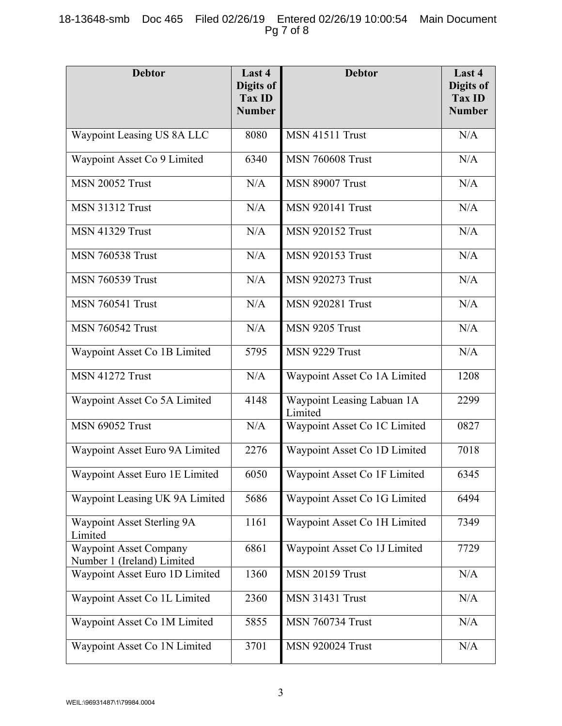## 18-13648-smb Doc 465 Filed 02/26/19 Entered 02/26/19 10:00:54 Main Document Pg 7 of 8

| <b>Debtor</b>                                               | Last 4<br>Digits of<br>Tax ID<br><b>Number</b> | <b>Debtor</b>                         | Last 4<br>Digits of<br><b>Tax ID</b><br><b>Number</b> |
|-------------------------------------------------------------|------------------------------------------------|---------------------------------------|-------------------------------------------------------|
| Waypoint Leasing US 8A LLC                                  | 8080                                           | <b>MSN 41511 Trust</b>                | N/A                                                   |
| Waypoint Asset Co 9 Limited                                 | 6340                                           | <b>MSN 760608 Trust</b>               | N/A                                                   |
| <b>MSN 20052 Trust</b>                                      | N/A                                            | <b>MSN 89007 Trust</b>                | N/A                                                   |
| <b>MSN 31312 Trust</b>                                      | N/A                                            | <b>MSN 920141 Trust</b>               | N/A                                                   |
| <b>MSN 41329 Trust</b>                                      | N/A                                            | <b>MSN 920152 Trust</b>               | N/A                                                   |
| <b>MSN 760538 Trust</b>                                     | N/A                                            | <b>MSN 920153 Trust</b>               | N/A                                                   |
| <b>MSN 760539 Trust</b>                                     | N/A                                            | <b>MSN 920273 Trust</b>               | N/A                                                   |
| <b>MSN 760541 Trust</b>                                     | N/A                                            | <b>MSN 920281 Trust</b>               | N/A                                                   |
| <b>MSN 760542 Trust</b>                                     | N/A                                            | MSN 9205 Trust                        | N/A                                                   |
| Waypoint Asset Co 1B Limited                                | 5795                                           | MSN 9229 Trust                        | N/A                                                   |
| <b>MSN 41272 Trust</b>                                      | N/A                                            | Waypoint Asset Co 1A Limited          | 1208                                                  |
| Waypoint Asset Co 5A Limited                                | 4148                                           | Waypoint Leasing Labuan 1A<br>Limited | 2299                                                  |
| <b>MSN 69052 Trust</b>                                      | N/A                                            | Waypoint Asset Co 1C Limited          | 0827                                                  |
| Waypoint Asset Euro 9A Limited                              | 2276                                           | Waypoint Asset Co 1D Limited          | 7018                                                  |
| Waypoint Asset Euro 1E Limited                              | 6050                                           | Waypoint Asset Co 1F Limited          | 6345                                                  |
| Waypoint Leasing UK 9A Limited                              | 5686                                           | Waypoint Asset Co 1G Limited          | 6494                                                  |
| Waypoint Asset Sterling 9A<br>Limited                       | 1161                                           | Waypoint Asset Co 1H Limited          | 7349                                                  |
| <b>Waypoint Asset Company</b><br>Number 1 (Ireland) Limited | 6861                                           | Waypoint Asset Co 1J Limited          | 7729                                                  |
| Waypoint Asset Euro 1D Limited                              | 1360                                           | <b>MSN 20159 Trust</b>                | N/A                                                   |
| Waypoint Asset Co 1L Limited                                | 2360                                           | <b>MSN 31431 Trust</b>                | N/A                                                   |
| Waypoint Asset Co 1M Limited                                | 5855                                           | <b>MSN 760734 Trust</b>               | N/A                                                   |
| Waypoint Asset Co 1N Limited                                | 3701                                           | <b>MSN 920024 Trust</b>               | N/A                                                   |